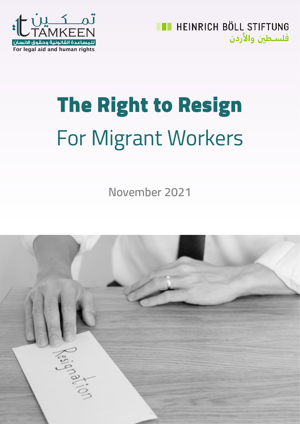

**ET HEINRICH BÖLL STIFTUNG** فلسطين والأردن

# The Right to Resign For Migrant Workers

**November 2021**

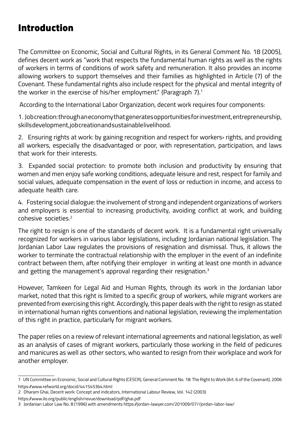# Introduction

The Committee on Economic, Social and Cultural Rights, in its General Comment No. 18 (2005), defines decent work as "work that respects the fundamental human rights as well as the rights of workers in terms of conditions of work safety and remuneration. It also provides an income allowing workers to support themselves and their families as highlighted in Article (7) of the Covenant. These fundamental rights also include respect for the physical and mental integrity of the worker in the exercise of his/her employment." (Paragraph 7).<sup>1</sup>

According to the International Labor Organization, decent work requires four components:

1. Job creation: through an economy that generates opportunities for investment, entrepreneurship, skills development, job creation and sustainable livelihood.

2. Ensuring rights at work: by gaining recognition and respect for workers› rights, and providing all workers, especially the disadvantaged or poor, with representation, participation, and laws that work for their interests.

3. Expanded social protection: to promote both inclusion and productivity by ensuring that women and men enjoy safe working conditions, adequate leisure and rest, respect for family and social values, adequate compensation in the event of loss or reduction in income, and access to adequate health care.

4. Fostering social dialogue: the involvement of strong and independent organizations of workers and employers is essential to increasing productivity, avoiding conflict at work, and building cohesive societies.2

The right to resign is one of the standards of decent work. It is a fundamental right universally recognized for workers in various labor legislations, including Jordanian national legislation. The Jordanian Labor Law regulates the provisions of resignation and dismissal. Thus, it allows the worker to terminate the contractual relationship with the employer in the event of an indefinite contract between them, after notifying their employer in writing at least one month in advance and getting the management's approval regarding their resignation.<sup>3</sup>

However, Tamkeen for Legal Aid and Human Rights, through its work in the Jordanian labor market, noted that this right is limited to a specific group of workers, while migrant workers are prevented from exercising this right. Accordingly, this paper deals with the right to resign as stated in international human rights conventions and national legislation, reviewing the implementation of this right in practice, particularly for migrant workers.

The paper relies on a review of relevant international agreements and national legislation, as well as an analysis of cases of migrant workers, particularly those working in the field of pedicures and manicures as well as other sectors, who wanted to resign from their workplace and work for another employer.

https://www.ilo.org/public/english/revue/download/pdf/ghai.pdf

<sup>1</sup> UN Committee on Economic, Social and Cultural Rights (CESCR), General Comment No. 18: The Right to Work (Art. 6 of the Covenant), 2006 https://www.refworld.org/docid/4415453b4.html

<sup>2</sup> Dharam Ghai, Decent work: Concept and indicators, International Labour Review, Vol. 142 (2003)

<sup>3</sup> Jordanian Labor Law No. 8 (1996) with amendments https://jordan-lawyer.com/201009/07//jordan-labor-law/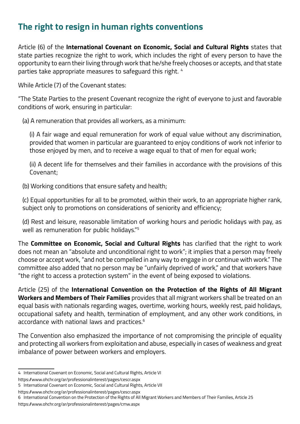## **The right to resign in human rights conventions**

Article (6) of the **International Covenant on Economic, Social and Cultural Rights** states that state parties recognize the right to work, which includes the right of every person to have the opportunity to earn their living through work that he/she freely chooses or accepts, and that state parties take appropriate measures to safeguard this right. 4

While Article (7) of the Covenant states:

"The State Parties to the present Covenant recognize the right of everyone to just and favorable conditions of work, ensuring in particular:

(a) A remuneration that provides all workers, as a minimum:

(i) A fair wage and equal remuneration for work of equal value without any discrimination, provided that women in particular are guaranteed to enjoy conditions of work not inferior to those enjoyed by men, and to receive a wage equal to that of men for equal work;

(ii) A decent life for themselves and their families in accordance with the provisions of this Covenant;

(b) Working conditions that ensure safety and health;

(c) Equal opportunities for all to be promoted, within their work, to an appropriate higher rank, subject only to promotions on considerations of seniority and efficiency;

(d) Rest and leisure, reasonable limitation of working hours and periodic holidays with pay, as well as remuneration for public holidays."5

The **Committee on Economic, Social and Cultural Rights** has clarified that the right to work does not mean an "absolute and unconditional right to work"; it implies that a person may freely choose or accept work, "and not be compelled in any way to engage in or continue with work." The committee also added that no person may be "unfairly deprived of work," and that workers have "the right to access a protection system" in the event of being exposed to violations.

Article (25) of the **International Convention on the Protection of the Rights of All Migrant Workers and Members of Their Families** provides that all migrant workers shall be treated on an equal basis with nationals regarding wages, overtime, working hours, weekly rest, paid holidays, occupational safety and health, termination of employment, and any other work conditions, in accordance with national laws and practices.6

The Convention also emphasized the importance of not compromising the principle of equality and protecting all workers from exploitation and abuse, especially in cases of weakness and great imbalance of power between workers and employers.

<sup>4</sup> International Covenant on Economic, Social and Cultural Rights, Article VI

https://www.ohchr.org/ar/professionalinterest/pages/cescr.aspx

<sup>5</sup> International Covenant on Economic, Social and Cultural Rights, Article VII

https://www.ohchr.org/ar/professionalinterest/pages/cescr.aspx

<sup>6</sup> International Convention on the Protection of the Rights of All Migrant Workers and Members of Their Families, Article 25

https://www.ohchr.org/ar/professionalinterest/pages/cmw.aspx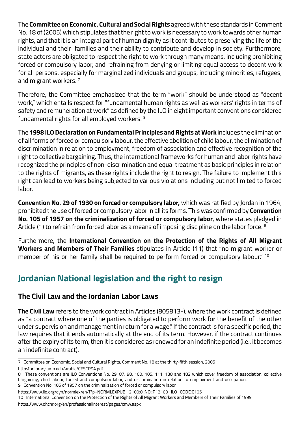The **Committee on Economic, Cultural and Social Rights** agreed with these standards in Comment No. 18 of (2005) which stipulates that the right to work is necessary to work towards other human rights, and that it is an integral part of human dignity as it contributes to preserving the life of the individual and their families and their ability to contribute and develop in society. Furthermore, state actors are obligated to respect the right to work through many means, including prohibiting forced or compulsory labor, and refraining from denying or limiting equal access to decent work for all persons, especially for marginalized individuals and groups, including minorities, refugees, and migrant workers.<sup>7</sup>

Therefore, the Committee emphasized that the term "work" should be understood as "decent work," which entails respect for "fundamental human rights as well as workers' rights in terms of safety and remuneration at work" as defined by the ILO in eight important conventions considered fundamental rights for all employed workers. 8

The **1998 ILO Declaration on Fundamental Principles and Rights at Work** includes the elimination of all forms of forced or compulsory labour, the effective abolition of child labour, the elimination of discrimination in relation to employment, freedom of association and effective recognition of the right to collective bargaining. Thus, the international frameworks for human and labor rights have recognized the principles of non-discrimination and equal treatment as basic principles in relation to the rights of migrants, as these rights include the right to resign. The failure to implement this right can lead to workers being subjected to various violations including but not limited to forced labor.

**Convention No. 29 of 1930 on forced or compulsory labor,** which was ratified by Jordan in 1964, prohibited the use of forced or compulsory labor in all its forms. This was confirmed by **Convention No. 105 of 1957 on the criminalization of forced or compulsory labor**, where states pledged in Article (1) to refrain from forced labor as a means of imposing discipline on the labor force. <sup>9</sup>

Furthermore, the **International Convention on the Protection of the Rights of All Migrant Workers and Members of Their Families** stipulates in Article (11) that "no migrant worker or member of his or her family shall be required to perform forced or compulsory labour." <sup>10</sup>

## **Jordanian National legislation and the right to resign**

#### **The Civil Law and the Jordanian Labor Laws**

**The Civil Law** refers to the work contract in Articles (805813-), where the work contract is defined as "a contract where one of the parties is obligated to perform work for the benefit of the other under supervision and management in return for a wage." If the contract is for a specific period, the law requires that it ends automatically at the end of its term. However, if the contract continues after the expiry of its term, then it is considered as renewed for an indefinite period (i.e., it becomes an indefinite contract).

<sup>7</sup> Committee on Economic, Social and Cultural Rights, Comment No. 18 at the thirty-fifth session, 2005

http://hrlibrary.umn.edu/arabic/CESCR94.pdf

<sup>8</sup> These conventions are ILO Conventions No. 29, 87, 98, 100, 105, 111, 138 and 182 which cover freedom of association, collective bargaining, child labour, forced and compulsory labor, and discrimination in relation to employment and occupation.

<sup>9</sup> Convention No. 105 of 1957 on the criminalization of forced or compulsory labor https://www.ilo.org/dyn/normlex/en/f?p=NORMLEXPUB:12100:0::NO::P12100\_ILO\_CODE:C105

<sup>10</sup> International Convention on the Protection of the Rights of All Migrant Workers and Members of Their Families of 1999

https://www.ohchr.org/en/professionalinterest/pages/cmw.aspx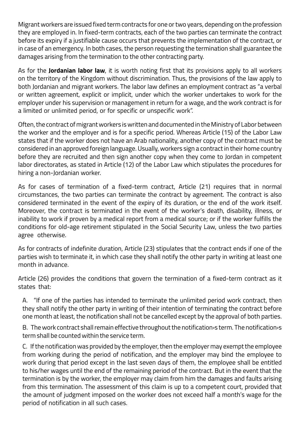Migrant workers are issued fixed term contracts for one or two years, depending on the profession they are employed in. In fixed-term contracts, each of the two parties can terminate the contract before its expiry if a justifiable cause occurs that prevents the implementation of the contract, or in case of an emergency. In both cases, the person requesting the termination shall guarantee the damages arising from the termination to the other contracting party.

As for the **Jordanian labor law**, it is worth noting first that its provisions apply to all workers on the territory of the Kingdom without discrimination. Thus, the provisions of the law apply to both Jordanian and migrant workers. The labor law defines an employment contract as "a verbal or written agreement, explicit or implicit, under which the worker undertakes to work for the employer under his supervision or management in return for a wage, and the work contract is for a limited or unlimited period, or for specific or unspecific work".

Often, the contract of migrant workers is written and documented in the Ministry of Labor between the worker and the employer and is for a specific period. Whereas Article (15) of the Labor Law states that if the worker does not have an Arab nationality, another copy of the contract must be considered in an approved foreign language. Usually, workers sign a contract in their home country before they are recruited and then sign another copy when they come to Jordan in competent labor directorates, as stated in Article (12) of the Labor Law which stipulates the procedures for hiring a non-Jordanian worker.

As for cases of termination of a fixed-term contract, Article (21) requires that in normal circumstances, the two parties can terminate the contract by agreement. The contract is also considered terminated in the event of the expiry of its duration, or the end of the work itself. Moreover, the contract is terminated in the event of the worker's death, disability, illness, or inability to work if proven by a medical report from a medical source; or if the worker fulfills the conditions for old-age retirement stipulated in the Social Security Law, unless the two parties agree otherwise.

As for contracts of indefinite duration, Article (23) stipulates that the contract ends if one of the parties wish to terminate it, in which case they shall notify the other party in writing at least one month in advance.

Article (26) provides the conditions that govern the termination of a fixed-term contract as it states that:

A. "If one of the parties has intended to terminate the unlimited period work contract, then they shall notify the other party in writing of their intention of terminating the contract before one month at least, the notification shall not be cancelled except by the approval of both parties.

B. The work contract shall remain effective throughout the notification›s term. The notification›s term shall be counted within the service term.

C. If the notification was provided by the employer, then the employer may exempt the employee from working during the period of notification, and the employer may bind the employee to work during that period except in the last seven days of them, the employee shall be entitled to his/her wages until the end of the remaining period of the contract. But in the event that the termination is by the worker, the employer may claim from him the damages and faults arising from this termination. The assessment of this claim is up to a competent court, provided that the amount of judgment imposed on the worker does not exceed half a month's wage for the period of notification in all such cases.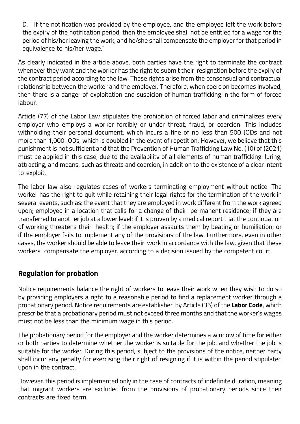D. If the notification was provided by the employee, and the employee left the work before the expiry of the notification period, then the employee shall not be entitled for a wage for the period of his/her leaving the work, and he/she shall compensate the employer for that period in equivalence to his/her wage."

As clearly indicated in the article above, both parties have the right to terminate the contract whenever they want and the worker has the right to submit their resignation before the expiry of the contract period according to the law. These rights arise from the consensual and contractual relationship between the worker and the employer. Therefore, when coercion becomes involved, then there is a danger of exploitation and suspicion of human trafficking in the form of forced labour.

Article (77) of the Labor Law stipulates the prohibition of forced labor and criminalizes every employer who employs a worker forcibly or under threat, fraud, or coercion. This includes withholding their personal document, which incurs a fine of no less than 500 JODs and not more than 1,000 JODs, which is doubled in the event of repetition. However, we believe that this punishment is not sufficient and that the Prevention of Human Trafficking Law No. (10) of (2021) must be applied in this case, due to the availability of all elements of human trafficking: luring, attracting, and means, such as threats and coercion, in addition to the existence of a clear intent to exploit.

The labor law also regulates cases of workers terminating employment without notice. The worker has the right to quit while retaining their legal rights for the termination of the work in several events, such as: the event that they are employed in work different from the work agreed upon; employed in a location that calls for a change of their permanent residence; if they are transferred to another job at a lower level; if it is proven by a medical report that the continuation of working threatens their health; if the employer assaults them by beating or humiliation; or if the employer fails to implement any of the provisions of the law. Furthermore, even in other cases, the worker should be able to leave their work in accordance with the law, given that these workers compensate the employer, according to a decision issued by the competent court.

#### **Regulation for probation**

Notice requirements balance the right of workers to leave their work when they wish to do so by providing employers a right to a reasonable period to find a replacement worker through a probationary period. Notice requirements are established by Article (35) of the **Labor Code**, which prescribe that a probationary period must not exceed three months and that the worker's wages must not be less than the minimum wage in this period.

The probationary period for the employer and the worker determines a window of time for either or both parties to determine whether the worker is suitable for the job, and whether the job is suitable for the worker. During this period, subject to the provisions of the notice, neither party shall incur any penalty for exercising their right of resigning if it is within the period stipulated upon in the contract.

However, this period is implemented only in the case of contracts of indefinite duration, meaning that migrant workers are excluded from the provisions of probationary periods since their contracts are fixed term.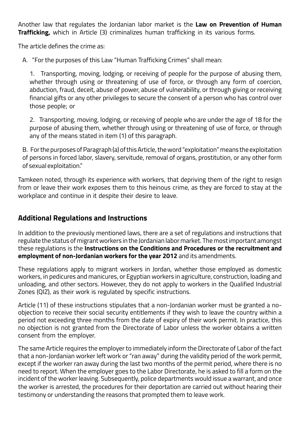Another law that regulates the Jordanian labor market is the **Law on Prevention of Human Trafficking,** which in Article (3) criminalizes human trafficking in its various forms.

The article defines the crime as:

A. "For the purposes of this Law "Human Trafficking Crimes" shall mean:

1. Transporting, moving, lodging, or receiving of people for the purpose of abusing them, whether through using or threatening of use of force, or through any form of coercion, abduction, fraud, deceit, abuse of power, abuse of vulnerability, or through giving or receiving financial gifts or any other privileges to secure the consent of a person who has control over those people; or

2. Transporting, moving, lodging, or receiving of people who are under the age of 18 for the purpose of abusing them, whether through using or threatening of use of force, or through any of the means stated in item (1) of this paragraph.

B. For the purposes of Paragraph (a) of this Article, the word "exploitation" means the exploitation of persons in forced labor, slavery, servitude, removal of organs, prostitution, or any other form of sexual exploitation."

Tamkeen noted, through its experience with workers, that depriving them of the right to resign from or leave their work exposes them to this heinous crime, as they are forced to stay at the workplace and continue in it despite their desire to leave.

#### **Additional Regulations and Instructions**

In addition to the previously mentioned laws, there are a set of regulations and instructions that regulate the status of migrant workers in the Jordanian labor market. The most important amongst these regulations is the **Instructions on the Conditions and Procedures or the recruitment and employment of non-Jordanian workers for the year 2012** and its amendments.

These regulations apply to migrant workers in Jordan, whether those employed as domestic workers, in pedicures and manicures, or Egyptian workers in agriculture, construction, loading and unloading, and other sectors. However, they do not apply to workers in the Qualified Industrial Zones (QIZ), as their work is regulated by specific instructions.

Article (11) of these instructions stipulates that a non-Jordanian worker must be granted a noobjection to receive their social security entitlements if they wish to leave the country within a period not exceeding three months from the date of expiry of their work permit. In practice, this no objection is not granted from the Directorate of Labor unless the worker obtains a written consent from the employer.

The same Article requires the employer to immediately inform the Directorate of Labor of the fact that a non-Jordanian worker left work or "ran away" during the validity period of the work permit, except if the worker ran away during the last two months of the permit period, where there is no need to report. When the employer goes to the Labor Directorate, he is asked to fill a form on the incident of the worker leaving. Subsequently, police departments would issue a warrant, and once the worker is arrested, the procedures for their deportation are carried out without hearing their testimony or understanding the reasons that prompted them to leave work.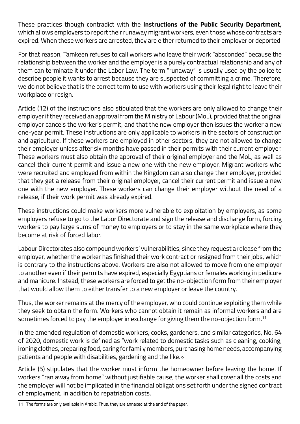These practices though contradict with the **Instructions of the Public Security Department,**  which allows employers to report their runaway migrant workers, even those whose contracts are expired. When these workers are arrested, they are either returned to their employer or deported.

For that reason, Tamkeen refuses to call workers who leave their work "absconded" because the relationship between the worker and the employer is a purely contractual relationship and any of them can terminate it under the Labor Law. The term "runaway" is usually used by the police to describe people it wants to arrest because they are suspected of committing a crime. Therefore, we do not believe that is the correct term to use with workers using their legal right to leave their workplace or resign.

Article (12) of the instructions also stipulated that the workers are only allowed to change their employer if they received an approval from the Ministry of Labour (MoL), provided that the original employer cancels the worker's permit, and that the new employer then issues the worker a new one-year permit. These instructions are only applicable to workers in the sectors of construction and agriculture. If these workers are employed in other sectors, they are not allowed to change their employer unless after six months have passed in their permits with their current employer. These workers must also obtain the approval of their original employer and the MoL, as well as cancel their current permit and issue a new one with the new employer. Migrant workers who were recruited and employed from within the Kingdom can also change their employer, provided that they get a release from their original employer, cancel their current permit and issue a new one with the new employer. These workers can change their employer without the need of a release, if their work permit was already expired.

These instructions could make workers more vulnerable to exploitation by employers, as some employers refuse to go to the Labor Directorate and sign the release and discharge form, forcing workers to pay large sums of money to employers or to stay in the same workplace where they become at risk of forced labor.

Labour Directorates also compound workers' vulnerabilities, since they request a release from the employer, whether the worker has finished their work contract or resigned from their jobs, which is contrary to the instructions above. Workers are also not allowed to move from one employer to another even if their permits have expired, especially Egyptians or females working in pedicure and manicure. Instead, these workers are forced to get the no-objection form from their employer that would allow them to either transfer to a new employer or leave the country.

Thus, the worker remains at the mercy of the employer, who could continue exploiting them while they seek to obtain the form. Workers who cannot obtain it remain as informal workers and are sometimes forced to pay the employer in exchange for giving them the no-objection form.<sup>11</sup>

In the amended regulation of domestic workers, cooks, gardeners, and similar categories, No. 64 of 2020, domestic work is defined as "work related to domestic tasks such as cleaning, cooking, ironing clothes, preparing food, caring for family members, purchasing home needs, accompanying patients and people with disabilities, gardening and the like.»

Article (5) stipulates that the worker must inform the homeowner before leaving the home. If workers "ran away from home" without justifiable cause, the worker shall cover all the costs and the employer will not be implicated in the financial obligations set forth under the signed contract of employment, in addition to repatriation costs.

<sup>11</sup> The forms are only available in Arabic. Thus, they are annexed at the end of the paper.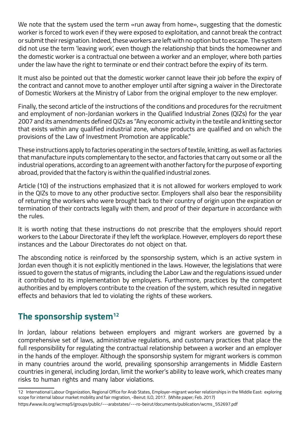We note that the system used the term «run away from home», suggesting that the domestic worker is forced to work even if they were exposed to exploitation, and cannot break the contract or submit their resignation. Indeed, these workers are left with no option but to escape. The system did not use the term 'leaving work', even though the relationship that binds the homeowner and the domestic worker is a contractual one between a worker and an employer, where both parties under the law have the right to terminate or end their contract before the expiry of its term.

It must also be pointed out that the domestic worker cannot leave their job before the expiry of the contract and cannot move to another employer until after signing a waiver in the Directorate of Domestic Workers at the Ministry of Labor from the original employer to the new employer.

Finally, the second article of the instructions of the conditions and procedures for the recruitment and employment of non-Jordanian workers in the Qualified Industrial Zones (QIZs) for the year 2007 and its amendments defined QIZs as "Any economic activity in the textile and knitting sector that exists within any qualified industrial zone, whose products are qualified and on which the provisions of the Law of Investment Promotion are applicable."

These instructions apply to factories operating in the sectors of textile, knitting, as well as factories that manufacture inputs complementary to the sector, and factories that carry out some or all the industrial operations, according to an agreement with another factory for the purpose of exporting abroad, provided that the factory is within the qualified industrial zones.

Article (10) of the instructions emphasized that it is not allowed for workers employed to work in the QIZs to move to any other productive sector. Employers shall also bear the responsibility of returning the workers who were brought back to their country of origin upon the expiration or termination of their contracts legally with them, and proof of their departure in accordance with the rules.

It is worth noting that these instructions do not prescribe that the employers should report workers to the Labour Directorate if they left the workplace. However, employers do report these instances and the Labour Directorates do not object on that.

The absconding notice is reinforced by the sponsorship system, which is an active system in Jordan even though it is not explicitly mentioned in the laws. However, the legislations that were issued to govern the status of migrants, including the Labor Law and the regulations issued under it contributed to its implementation by employers. Furthermore, practices by the competent authorities and by employers contribute to the creation of the system, which resulted in negative effects and behaviors that led to violating the rights of these workers.

### **The sponsorship system12**

In Jordan, labour relations between employers and migrant workers are governed by a comprehensive set of laws, administrative regulations, and customary practices that place the full responsibility for regulating the contractual relationship between a worker and an employer in the hands of the employer. Although the sponsorship system for migrant workers is common in many countries around the world, prevailing sponsorship arrangements in Middle Eastern countries in general, including Jordan, limit the worker's ability to leave work, which creates many risks to human rights and many labor violations.

<sup>12</sup> International Labour Organization, Regional Office for Arab States, Employer-migrant worker relationships in the Middle East: exploring scope for internal labour market mobility and fair migration, -Beirut: ILO, 2017. (White paper; Feb. 2017)

https://www.ilo.org/wcmsp5/groups/public/---arabstates/---ro-beirut/documents/publication/wcms\_552697.pdf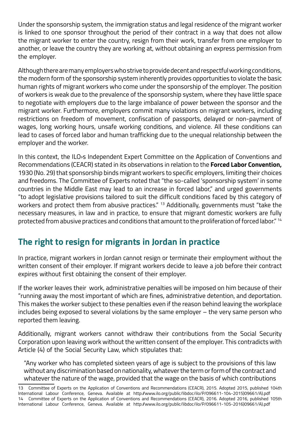Under the sponsorship system, the immigration status and legal residence of the migrant worker is linked to one sponsor throughout the period of their contract in a way that does not allow the migrant worker to enter the country, resign from their work, transfer from one employer to another, or leave the country they are working at, without obtaining an express permission from the employer.

Although there are many employers who strive to provide decent and respectful working conditions, the modern form of the sponsorship system inherently provides opportunities to violate the basic human rights of migrant workers who come under the sponsorship of the employer. The position of workers is weak due to the prevalence of the sponsorship system, where they have little space to negotiate with employers due to the large imbalance of power between the sponsor and the migrant worker. Furthermore, employers commit many violations on migrant workers, including restrictions on freedom of movement, confiscation of passports, delayed or non-payment of wages, long working hours, unsafe working conditions, and violence. All these conditions can lead to cases of forced labor and human trafficking due to the unequal relationship between the employer and the worker.

In this context, the ILO›s Independent Expert Committee on the Application of Conventions and Recommendations (CEACR) stated in its observations in relation to the **Forced Labor Convention,**  1930 (No. 29) that sponsorship binds migrant workers to specific employers, limiting their choices and freedoms. The Committee of Experts noted that "the so-called 'sponsorship system' in some countries in the Middle East may lead to an increase in forced labor," and urged governments "to adopt legislative provisions tailored to suit the difficult conditions faced by this category of workers and protect them from abusive practices." <sup>13</sup> Additionally, governments must "take the necessary measures, in law and in practice, to ensure that migrant domestic workers are fully protected from abusive practices and conditions that amount to the proliferation of forced labor." 14

## **The right to resign for migrants in Jordan in practice**

In practice, migrant workers in Jordan cannot resign or terminate their employment without the written consent of their employer. If migrant workers decide to leave a job before their contract expires without first obtaining the consent of their employer.

If the worker leaves their work, administrative penalties will be imposed on him because of their "running away the most important of which are fines, administrative detention, and deportation. This makes the worker subject to these penalties even if the reason behind leaving the workplace includes being exposed to several violations by the same employer – the very same person who reported them leaving.

Additionally, migrant workers cannot withdraw their contributions from the Social Security Corporation upon leaving work without the written consent of the employer. This contradicts with Article (4) of the Social Security Law, which stipulates that:

"Any worker who has completed sixteen years of age is subject to the provisions of this law without any discrimination based on nationality, whatever the term or form of the contract and whatever the nature of the wage, provided that the wage on the basis of which contributions

<sup>13</sup> Committee of Experts on the Application of Conventions and Recommendations (CEACR), 2015. Adopted 2015, published 104th International Labour Conference, Geneva. Available at http://www.ilo.org/public/libdoc/ilo/P/096611-104-2015)09661/A).pdf 14 Committee of Experts on the Application of Conventions and Recommendations (CEACR), 2016. Adopted 2016, published 105th International Labour Conference, Geneva. Available at http://www.ilo.org/public/libdoc/ilo/P/096611-105-2016)09661/A).pdf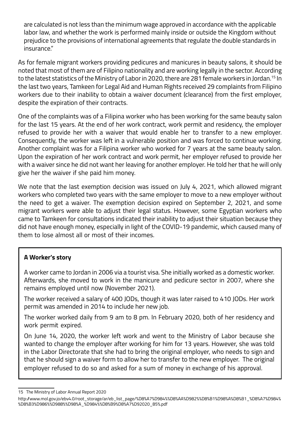are calculated is not less than the minimum wage approved in accordance with the applicable labor law, and whether the work is performed mainly inside or outside the Kingdom without prejudice to the provisions of international agreements that regulate the double standards in insurance."

As for female migrant workers providing pedicures and manicures in beauty salons, it should be noted that most of them are of Filipino nationality and are working legally in the sector. According to the latest statistics of the Ministry of Labor in 2020, there are 281 female workers in Jordan.<sup>15</sup> In the last two years, Tamkeen for Legal Aid and Human Rights received 29 complaints from Filipino workers due to their inability to obtain a waiver document (clearance) from the first employer, despite the expiration of their contracts.

One of the complaints was of a Filipina worker who has been working for the same beauty salon for the last 15 years. At the end of her work contract, work permit and residency, the employer refused to provide her with a waiver that would enable her to transfer to a new employer. Consequently, the worker was left in a vulnerable position and was forced to continue working. Another complaint was for a Filipina worker who worked for 7 years at the same beauty salon. Upon the expiration of her work contract and work permit, her employer refused to provide her with a waiver since he did not want her leaving for another employer. He told her that he will only give her the waiver if she paid him money.

We note that the last exemption decision was issued on July 4, 2021, which allowed migrant workers who completed two years with the same employer to move to a new employer without the need to get a waiver. The exemption decision expired on September 2, 2021, and some migrant workers were able to adjust their legal status. However, some Egyptian workers who came to Tamkeen for consultations indicated their inability to adjust their situation because they did not have enough money, especially in light of the COVID-19 pandemic, which caused many of them to lose almost all or most of their incomes.

#### **A Worker's story**

A worker came to Jordan in 2006 via a tourist visa. She initially worked as a domestic worker. Afterwards, she moved to work in the manicure and pedicure sector in 2007, where she remains employed until now (November 2021).

The worker received a salary of 400 JODs, though it was later raised to 410 JODs. Her work permit was amended in 2014 to include her new job.

The worker worked daily from 9 am to 8 pm. In February 2020, both of her residency and work permit expired.

On June 14, 2020, the worker left work and went to the Ministry of Labor because she wanted to change the employer after working for him for 13 years. However, she was told in the Labor Directorate that she had to bring the original employer, who needs to sign and that he should sign a waiver form to allow her to transfer to the new employer. The original employer refused to do so and asked for a sum of money in exchange of his approval.

<sup>15</sup> The Ministry of Labor Annual Report 2020

http://www.mol.gov.jo/ebv4.0/root\_storage/ar/eb\_list\_page/%D8%A7%D984%%D8%AA%D982%%D8%B1%D98%A%D8%B1\_%D8%A7%D984% %D8%B3%D986%%D988%%D98%A\_%D984%%D8%B9%D8%A7%D92020\_85%.pdf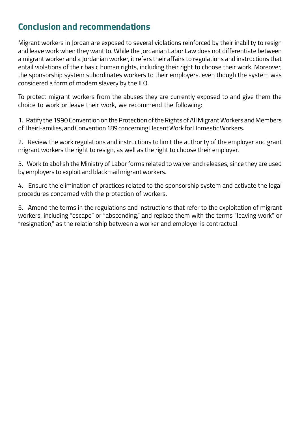## **Conclusion and recommendations**

Migrant workers in Jordan are exposed to several violations reinforced by their inability to resign and leave work when they want to. While the Jordanian Labor Law does not differentiate between a migrant worker and a Jordanian worker, it refers their affairs to regulations and instructions that entail violations of their basic human rights, including their right to choose their work. Moreover, the sponsorship system subordinates workers to their employers, even though the system was considered a form of modern slavery by the ILO.

To protect migrant workers from the abuses they are currently exposed to and give them the choice to work or leave their work, we recommend the following:

1. Ratify the 1990 Convention on the Protection of the Rights of All Migrant Workers and Members of Their Families, and Convention 189 concerning Decent Work for Domestic Workers.

2. Review the work regulations and instructions to limit the authority of the employer and grant migrant workers the right to resign, as well as the right to choose their employer.

3. Work to abolish the Ministry of Labor forms related to waiver and releases, since they are used by employers to exploit and blackmail migrant workers.

4. Ensure the elimination of practices related to the sponsorship system and activate the legal procedures concerned with the protection of workers.

5. Amend the terms in the regulations and instructions that refer to the exploitation of migrant workers, including "escape" or "absconding," and replace them with the terms "leaving work" or "resignation," as the relationship between a worker and employer is contractual.